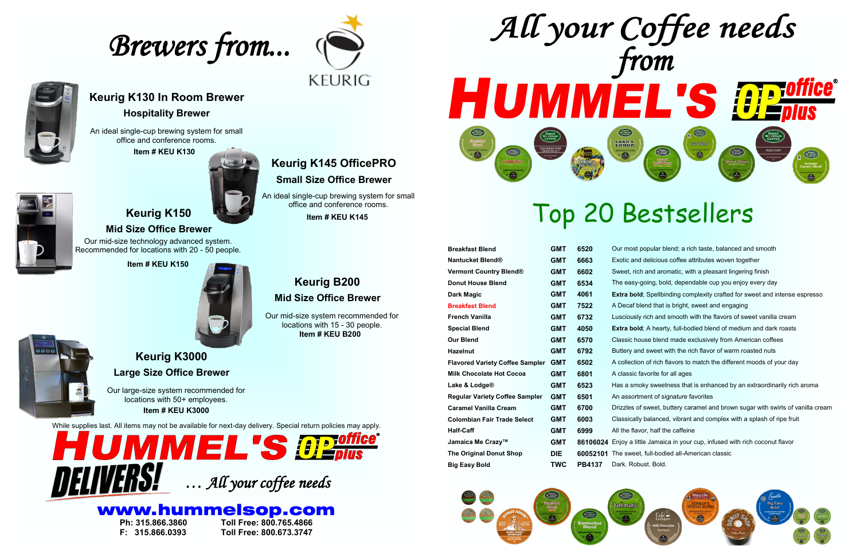

**The Original Donut Shop DIE 60052101** The sweet, full-bodied all-American classic **Robust. Bold.** 

# Top 20 Bestsellers

| <b>Breakfast Blend</b>                 | <b>GMT</b> | 6520            | Our m             |
|----------------------------------------|------------|-----------------|-------------------|
| <b>Nantucket Blend®</b>                | <b>GMT</b> | 6663            | Exotic            |
| <b>Vermont Country Blend®</b>          | <b>GMT</b> | 6602            | Sweet             |
| <b>Donut House Blend</b>               | <b>GMT</b> | 6534            | The ${\mathsf e}$ |
| <b>Dark Magic</b>                      | <b>GMT</b> | 4061            | <b>Extra</b>      |
| <b>Breakfast Blend</b>                 | <b>GMT</b> | 7522            | A Dec             |
| <b>French Vanilla</b>                  | <b>GMT</b> | 6732            | Luscio            |
| <b>Special Blend</b>                   | <b>GMT</b> | 4050            | <b>Extra</b>      |
| <b>Our Blend</b>                       | <b>GMT</b> | 6570            | Classi            |
| <b>Hazelnut</b>                        | GMT        | 6792            | <b>Butter</b>     |
| <b>Flavored Variety Coffee Sampler</b> | <b>GMT</b> | 6502            | A collo           |
| <b>Milk Chocolate Hot Cocoa</b>        | <b>GMT</b> | 6801            | A clas            |
| Lake & Lodge <sup>®</sup>              | <b>GMT</b> | 6523            | Has a             |
| <b>Regular Variety Coffee Sampler</b>  | <b>GMT</b> | 6501            | An as:            |
| <b>Caramel Vanilla Cream</b>           | GMT        | 6700            | <b>Drizzlo</b>    |
| <b>Colombian Fair Trade Select</b>     | <b>GMT</b> | 6003            | Classi            |
| <b>Half-Caff</b>                       | <b>GMT</b> | 6999            | All the           |
| Jamaica Me Crazy™                      | <b>GMT</b> | 86106024 Enjoy  |                   |
| <b>The Original Donut Shop</b>         | <b>DIE</b> | 60052101 The sy |                   |
| <b>Big Easy Bold</b>                   | TWC        | <b>PB4137</b>   | Dark.             |





### **Keurig B200 Mid Size Office Brewer**

**Item # KEU B200** Our mid-size system recommended for locations with 15 - 30 people.



# www.hummelsop.com



**Ph: 315.866.3860 Toll Free: 800.765.4866 F: 315.866.0393 Toll Free: 800.673.3747**

*Brewers from...* 





# **Keurig K145 OfficePRO**

**Small Size Office Brewer**

**Item # KEU K145**

An ideal single-cup brewing system for small office and conference rooms.

## **Keurig K130 In Room Brewer**

#### **Hospitality Brewer**

An ideal single-cup brewing system for small office and conference rooms.

**Item # KEU K130**



**Item # KEU K150**



**boak breakfall bleakst and as rich taste, balanced and smooth** and delicious coffee attributes woven together **Vermont Country Blend® GMT 6602** Sweet, rich and aromatic, with a pleasant lingering finish asy-going, bold, dependable cup you enjoy every day **bold**; Spellbinding complexity crafted for sweet and intense espresso **Braukfall Blend** that is bright, sweet and engaging **Susly rich and smooth with the flavors of sweet vanilla cream bold**; A hearty, full-bodied blend of medium and dark roasts **Inco house blend made exclusively from American coffees Haush Hand** Sweet with the rich flavor of warm roasted nuts **Flaubier of sample of the Sampler continum** ection of rich flavors to match the different moods of your day **Milk Cococococo Filter** for all ages smoky sweetness that is enhanced by an extraordinarily rich aroma **Regilar Softment of signature favorites** es of sweet, buttery caramel and brown sugar with swirls of vanilla cream **Colly balanced, vibrant and complex with a splash of ripe fruit** flavor, half the caffeine a little Jamaica in your cup, infused with rich coconut flavor

# **Keurig K150**

**Mid Size Office Brewer**

Our mid-size technology advanced system. Recommended for locations with 20 - 50 people.

### **Keurig K3000 Large Size Office Brewer**

Our large-size system recommended for locations with 50+ employees. **Item # KEU K3000**

While supplies last. All items may not be available for next-day delivery. Special return policies may apply.